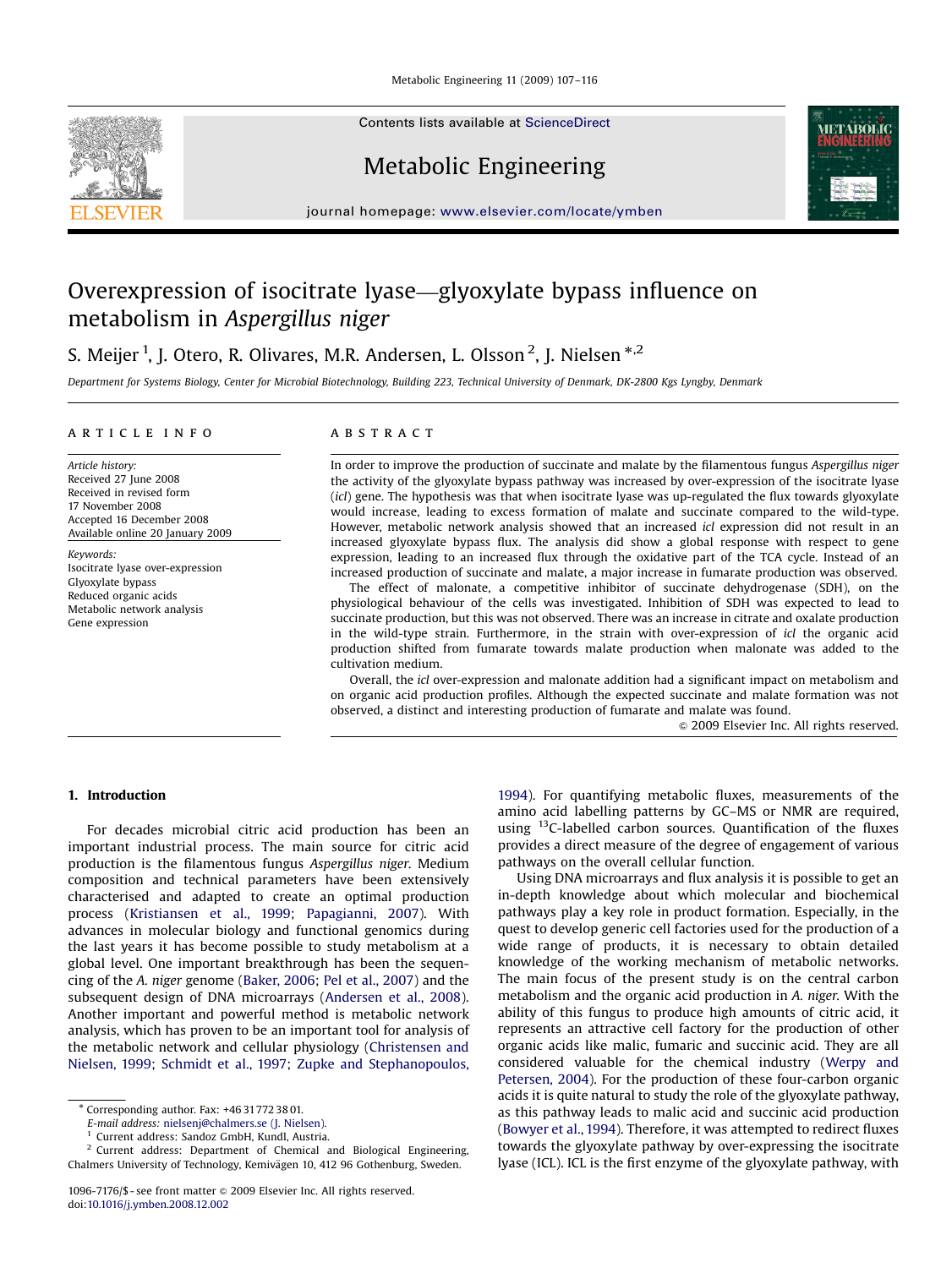Metabolic Engineering 11 (2009) 107–116

Contents lists available at [ScienceDirect](www.sciencedirect.com/science/journal/ymben)

# Metabolic Engineering

journal homepage: <www.elsevier.com/locate/ymben>

# Overexpression of isocitrate lyase—glyoxylate bypass influence on metabolism in Aspergillus niger

S. Meijer <sup>1</sup>, J. Otero, R. Olivares, M.R. Andersen, L. Olsson <sup>2</sup>, J. Nielsen \*<sup>,2</sup>

Department for Systems Biology, Center for Microbial Biotechnology, Building 223, Technical University of Denmark, DK-2800 Kgs Lyngby, Denmark

#### article info

Article history: Received 27 June 2008 Received in revised form 17 November 2008 Accepted 16 December 2008 Available online 20 January 2009

Keywords: Isocitrate lyase over-expression Glyoxylate bypass Reduced organic acids Metabolic network analysis Gene expression

## **ABSTRACT**

In order to improve the production of succinate and malate by the filamentous fungus Aspergillus niger the activity of the glyoxylate bypass pathway was increased by over-expression of the isocitrate lyase (icl) gene. The hypothesis was that when isocitrate lyase was up-regulated the flux towards glyoxylate would increase, leading to excess formation of malate and succinate compared to the wild-type. However, metabolic network analysis showed that an increased icl expression did not result in an increased glyoxylate bypass flux. The analysis did show a global response with respect to gene expression, leading to an increased flux through the oxidative part of the TCA cycle. Instead of an increased production of succinate and malate, a major increase in fumarate production was observed.

The effect of malonate, a competitive inhibitor of succinate dehydrogenase (SDH), on the physiological behaviour of the cells was investigated. Inhibition of SDH was expected to lead to succinate production, but this was not observed. There was an increase in citrate and oxalate production in the wild-type strain. Furthermore, in the strain with over-expression of icl the organic acid production shifted from fumarate towards malate production when malonate was added to the cultivation medium.

Overall, the icl over-expression and malonate addition had a significant impact on metabolism and on organic acid production profiles. Although the expected succinate and malate formation was not observed, a distinct and interesting production of fumarate and malate was found.

& 2009 Elsevier Inc. All rights reserved.

# 1. Introduction

For decades microbial citric acid production has been an important industrial process. The main source for citric acid production is the filamentous fungus Aspergillus niger. Medium composition and technical parameters have been extensively characterised and adapted to create an optimal production process [\(Kristiansen et al., 1999;](#page-9-0) [Papagianni, 2007](#page-9-0)). With advances in molecular biology and functional genomics during the last years it has become possible to study metabolism at a global level. One important breakthrough has been the sequencing of the A. niger genome [\(Baker, 2006](#page-9-0); [Pel et al., 2007\)](#page-9-0) and the subsequent design of DNA microarrays [\(Andersen et al., 2008\)](#page-9-0). Another important and powerful method is metabolic network analysis, which has proven to be an important tool for analysis of the metabolic network and cellular physiology [\(Christensen and](#page-9-0) [Nielsen, 1999;](#page-9-0) [Schmidt et al., 1997](#page-9-0); [Zupke and Stephanopoulos,](#page-9-0)

E-mail address: [nielsenj@chalmers.se \(J. Nielsen\).](mailto:nielsenj@chalmers.se)

[1994](#page-9-0)). For quantifying metabolic fluxes, measurements of the amino acid labelling patterns by GC–MS or NMR are required, using <sup>13</sup>C-labelled carbon sources. Quantification of the fluxes provides a direct measure of the degree of engagement of various pathways on the overall cellular function.

Using DNA microarrays and flux analysis it is possible to get an in-depth knowledge about which molecular and biochemical pathways play a key role in product formation. Especially, in the quest to develop generic cell factories used for the production of a wide range of products, it is necessary to obtain detailed knowledge of the working mechanism of metabolic networks. The main focus of the present study is on the central carbon metabolism and the organic acid production in A. niger. With the ability of this fungus to produce high amounts of citric acid, it represents an attractive cell factory for the production of other organic acids like malic, fumaric and succinic acid. They are all considered valuable for the chemical industry ([Werpy and](#page-9-0) [Petersen, 2004\)](#page-9-0). For the production of these four-carbon organic acids it is quite natural to study the role of the glyoxylate pathway, as this pathway leads to malic acid and succinic acid production ([Bowyer et al., 1994](#page-9-0)). Therefore, it was attempted to redirect fluxes towards the glyoxylate pathway by over-expressing the isocitrate lyase (ICL). ICL is the first enzyme of the glyoxylate pathway, with





<sup>-</sup>Corresponding author. Fax: +46 31772 38 01.

<sup>&</sup>lt;sup>1</sup> Current address: Sandoz GmbH, Kundl, Austria.

<sup>2</sup> Current address: Department of Chemical and Biological Engineering, Chalmers University of Technology, Kemivägen 10, 412 96 Gothenburg, Sweden.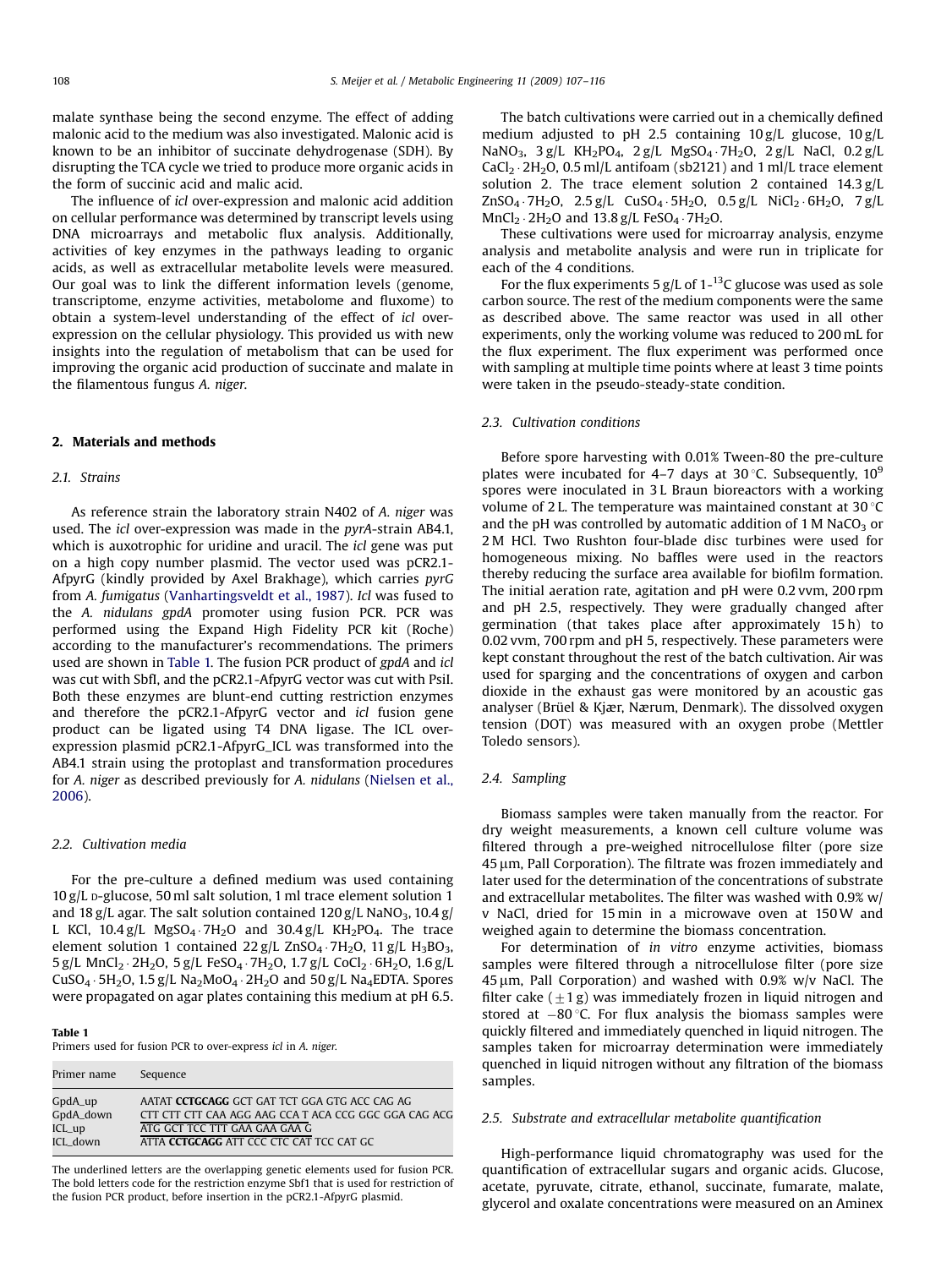malate synthase being the second enzyme. The effect of adding malonic acid to the medium was also investigated. Malonic acid is known to be an inhibitor of succinate dehydrogenase (SDH). By disrupting the TCA cycle we tried to produce more organic acids in the form of succinic acid and malic acid.

The influence of icl over-expression and malonic acid addition on cellular performance was determined by transcript levels using DNA microarrays and metabolic flux analysis. Additionally, activities of key enzymes in the pathways leading to organic acids, as well as extracellular metabolite levels were measured. Our goal was to link the different information levels (genome, transcriptome, enzyme activities, metabolome and fluxome) to obtain a system-level understanding of the effect of icl overexpression on the cellular physiology. This provided us with new insights into the regulation of metabolism that can be used for improving the organic acid production of succinate and malate in the filamentous fungus A. niger.

## 2. Materials and methods

### 2.1. Strains

As reference strain the laboratory strain N402 of A. niger was used. The icl over-expression was made in the pyrA-strain AB4.1, which is auxotrophic for uridine and uracil. The icl gene was put on a high copy number plasmid. The vector used was pCR2.1- AfpyrG (kindly provided by Axel Brakhage), which carries pyrG from A. fumigatus ([Vanhartingsveldt et al., 1987\)](#page-9-0). Icl was fused to the A. nidulans gpdA promoter using fusion PCR. PCR was performed using the Expand High Fidelity PCR kit (Roche) according to the manufacturer's recommendations. The primers used are shown in Table 1. The fusion PCR product of gpdA and icl was cut with SbfI, and the pCR2.1-AfpyrG vector was cut with PsiI. Both these enzymes are blunt-end cutting restriction enzymes and therefore the pCR2.1-AfpyrG vector and icl fusion gene product can be ligated using T4 DNA ligase. The ICL overexpression plasmid pCR2.1-AfpyrG\_ICL was transformed into the AB4.1 strain using the protoplast and transformation procedures for A. niger as described previously for A. nidulans [\(Nielsen et al.,](#page-9-0) [2006](#page-9-0)).

#### 2.2. Cultivation media

For the pre-culture a defined medium was used containing 10 g/L D-glucose, 50 ml salt solution, 1 ml trace element solution 1 and 18 g/L agar. The salt solution contained  $120$  g/L NaNO<sub>3</sub>,  $10.4$  g/ L KCl, 10.4 $\rm g/L$  MgSO $\rm _4$   $\cdot 7H_2O$  and 30.4 $\rm g/L$  KH $\rm _2$ PO $\rm _4$ . The trace element solution 1 contained 22 g/L ZnSO $_4$   $\cdot$  7H $_2$ O, 11 g/L H $_3$ BO $_3$ , 5 g/L MnCl2 · 2H2O, 5 g/L FeSO4 · 7H2O, 1.7 g/L CoCl2 · 6H2O, 1.6 g/L CuSO $_4$   $\cdot$  5H $_2$ O, 1.5 g/L Na $_2$ MoO $_4$   $\cdot$  2H $_2$ O and 50 g/L Na $_4$ EDTA. Spores were propagated on agar plates containing this medium at pH 6.5.

#### Table 1

Primers used for fusion PCR to over-express icl in A. niger.

| Primer name | Sequence                                              |
|-------------|-------------------------------------------------------|
| GpdA_up     | AATAT CCTGCAGG GCT GAT TCT GGA GTG ACC CAG AG         |
| GpdA_down   | CTT CTT CTT CAA AGG AAG CCA T ACA CCG GGC GGA CAG ACG |
| ICL_up      | ATG GCT TCC TTT GAA GAA GAA G                         |
| ICL down    | ATTA CCTGCAGG ATT CCC CTC CAT TCC CAT GC              |

The underlined letters are the overlapping genetic elements used for fusion PCR. The bold letters code for the restriction enzyme Sbf1 that is used for restriction of the fusion PCR product, before insertion in the pCR2.1-AfpyrG plasmid.

The batch cultivations were carried out in a chemically defined medium adjusted to pH 2.5 containing 10 g/L glucose, 10 g/L NaNO<sub>3</sub>, 3 g/L KH<sub>2</sub>PO<sub>4</sub>, 2 g/L MgSO<sub>4</sub>  $\cdot$  7H<sub>2</sub>O, 2 g/L NaCl, 0.2 g/L  $CaCl<sub>2</sub>·2H<sub>2</sub>O$ , 0.5 ml/L antifoam (sb2121) and 1 ml/L trace element solution 2. The trace element solution 2 contained  $14.3 \text{ g/L}$  $ZnSO_4 \cdot 7H_2O$ ,  $2.5 g/L$   $CuSO_4 \cdot 5H_2O$ ,  $0.5 g/L$   $NiCl_2 \cdot 6H_2O$ ,  $7 g/L$  $MnCl_2 \cdot 2H_2O$  and 13.8 g/L FeSO<sub>4</sub>  $\cdot$  7H<sub>2</sub>O.

These cultivations were used for microarray analysis, enzyme analysis and metabolite analysis and were run in triplicate for each of the 4 conditions.

For the flux experiments 5 g/L of  $1$ -<sup>13</sup>C glucose was used as sole carbon source. The rest of the medium components were the same as described above. The same reactor was used in all other experiments, only the working volume was reduced to 200 mL for the flux experiment. The flux experiment was performed once with sampling at multiple time points where at least 3 time points were taken in the pseudo-steady-state condition.

## 2.3. Cultivation conditions

Before spore harvesting with 0.01% Tween-80 the pre-culture plates were incubated for 4-7 days at 30 °C. Subsequently,  $10^9$ spores were inoculated in 3 L Braun bioreactors with a working volume of 2L. The temperature was maintained constant at 30 $\degree$ C and the pH was controlled by automatic addition of  $1 M NaCO<sub>3</sub>$  or 2 M HCl. Two Rushton four-blade disc turbines were used for homogeneous mixing. No baffles were used in the reactors thereby reducing the surface area available for biofilm formation. The initial aeration rate, agitation and pH were 0.2 vvm, 200 rpm and pH 2.5, respectively. They were gradually changed after germination (that takes place after approximately 15 h) to 0.02 vvm, 700 rpm and pH 5, respectively. These parameters were kept constant throughout the rest of the batch cultivation. Air was used for sparging and the concentrations of oxygen and carbon dioxide in the exhaust gas were monitored by an acoustic gas analyser (Brüel & Kjær, Nærum, Denmark). The dissolved oxygen tension (DOT) was measured with an oxygen probe (Mettler Toledo sensors).

## 2.4. Sampling

Biomass samples were taken manually from the reactor. For dry weight measurements, a known cell culture volume was filtered through a pre-weighed nitrocellulose filter (pore size  $45 \mu$ m, Pall Corporation). The filtrate was frozen immediately and later used for the determination of the concentrations of substrate and extracellular metabolites. The filter was washed with 0.9% w/ v NaCl, dried for 15 min in a microwave oven at 150W and weighed again to determine the biomass concentration.

For determination of in vitro enzyme activities, biomass samples were filtered through a nitrocellulose filter (pore size  $45 \,\mu$ m, Pall Corporation) and washed with 0.9% w/v NaCl. The filter cake  $(\pm 1 g)$  was immediately frozen in liquid nitrogen and stored at  $-80^{\circ}$ C. For flux analysis the biomass samples were quickly filtered and immediately quenched in liquid nitrogen. The samples taken for microarray determination were immediately quenched in liquid nitrogen without any filtration of the biomass samples.

#### 2.5. Substrate and extracellular metabolite quantification

High-performance liquid chromatography was used for the quantification of extracellular sugars and organic acids. Glucose, acetate, pyruvate, citrate, ethanol, succinate, fumarate, malate, glycerol and oxalate concentrations were measured on an Aminex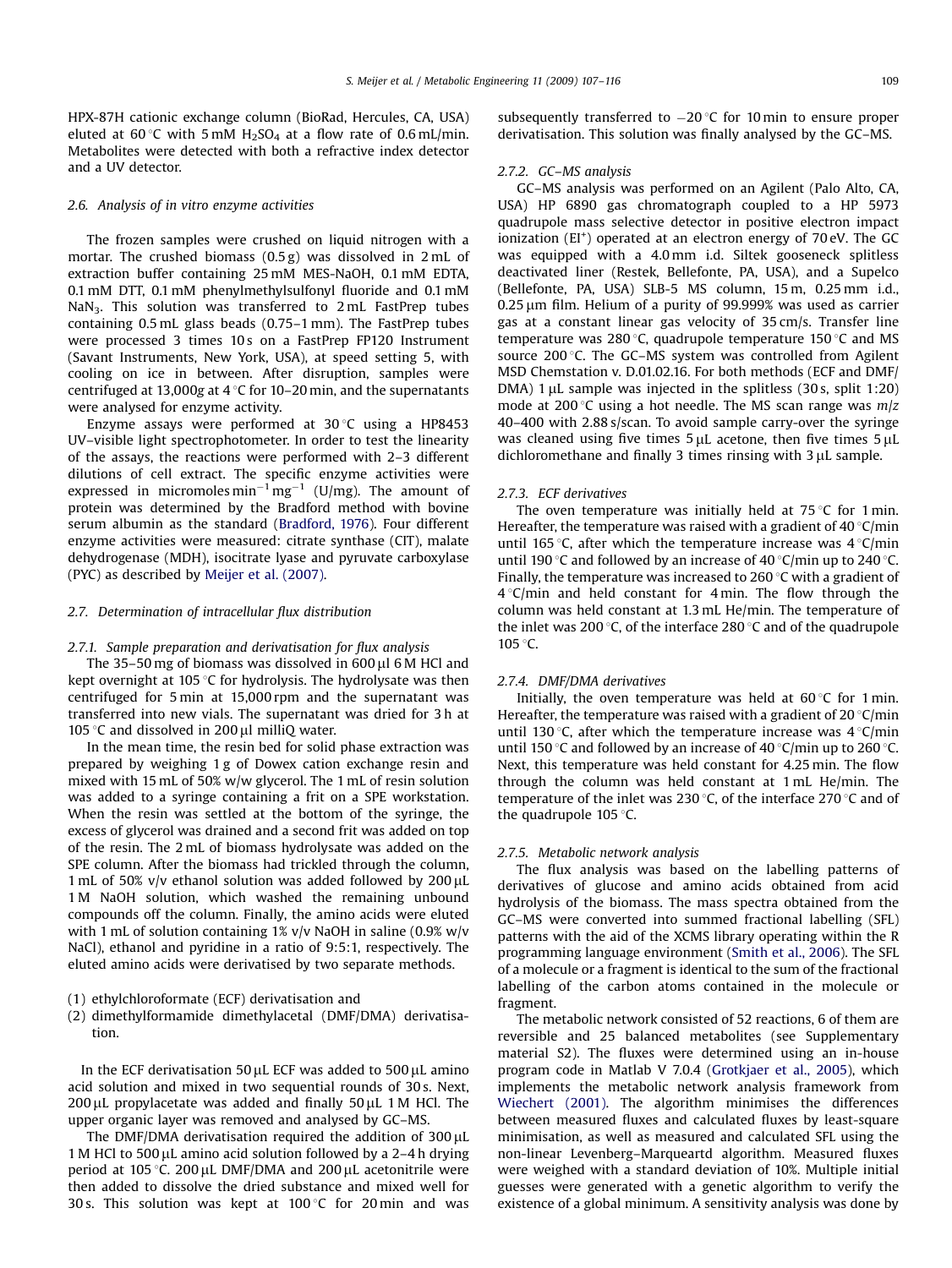HPX-87H cationic exchange column (BioRad, Hercules, CA, USA) eluted at 60 °C with 5 mM  $H_2SO_4$  at a flow rate of 0.6 mL/min. Metabolites were detected with both a refractive index detector and a UV detector.

# 2.6. Analysis of in vitro enzyme activities

The frozen samples were crushed on liquid nitrogen with a mortar. The crushed biomass (0.5 g) was dissolved in 2 mL of extraction buffer containing 25 mM MES-NaOH, 0.1 mM EDTA, 0.1 mM DTT, 0.1 mM phenylmethylsulfonyl fluoride and 0.1 mM NaN<sub>3</sub>. This solution was transferred to  $2 \text{ mL}$  FastPrep tubes containing 0.5 mL glass beads (0.75–1 mm). The FastPrep tubes were processed 3 times 10s on a FastPrep FP120 Instrument (Savant Instruments, New York, USA), at speed setting 5, with cooling on ice in between. After disruption, samples were centrifuged at 13,000g at 4 °C for 10–20 min, and the supernatants were analysed for enzyme activity.

Enzyme assays were performed at  $30^{\circ}$ C using a HP8453 UV–visible light spectrophotometer. In order to test the linearity of the assays, the reactions were performed with 2–3 different dilutions of cell extract. The specific enzyme activities were expressed in micromoles  $min^{-1} mg^{-1}$  (U/mg). The amount of protein was determined by the Bradford method with bovine serum albumin as the standard ([Bradford, 1976\)](#page-9-0). Four different enzyme activities were measured: citrate synthase (CIT), malate dehydrogenase (MDH), isocitrate lyase and pyruvate carboxylase (PYC) as described by [Meijer et al. \(2007\).](#page-9-0)

#### 2.7. Determination of intracellular flux distribution

## 2.7.1. Sample preparation and derivatisation for flux analysis

The  $35-50$  mg of biomass was dissolved in  $600 \mu$ l 6 M HCl and kept overnight at 105 $\degree$ C for hydrolysis. The hydrolysate was then centrifuged for 5 min at 15,000 rpm and the supernatant was transferred into new vials. The supernatant was dried for 3 h at 105 $\degree$ C and dissolved in 200 µl milliQ water.

In the mean time, the resin bed for solid phase extraction was prepared by weighing 1 g of Dowex cation exchange resin and mixed with 15 mL of 50% w/w glycerol. The 1 mL of resin solution was added to a syringe containing a frit on a SPE workstation. When the resin was settled at the bottom of the syringe, the excess of glycerol was drained and a second frit was added on top of the resin. The 2 mL of biomass hydrolysate was added on the SPE column. After the biomass had trickled through the column, 1 mL of 50% v/v ethanol solution was added followed by  $200 \mu L$ 1 M NaOH solution, which washed the remaining unbound compounds off the column. Finally, the amino acids were eluted with 1 mL of solution containing 1% v/v NaOH in saline (0.9% w/v NaCl), ethanol and pyridine in a ratio of 9:5:1, respectively. The eluted amino acids were derivatised by two separate methods.

- (1) ethylchloroformate (ECF) derivatisation and
- (2) dimethylformamide dimethylacetal (DMF/DMA) derivatisation.

In the ECF derivatisation 50  $\mu$ L ECF was added to 500  $\mu$ L amino acid solution and mixed in two sequential rounds of 30 s. Next,  $200 \mu$ L propylacetate was added and finally  $50 \mu$ L 1 M HCl. The upper organic layer was removed and analysed by GC–MS.

The DMF/DMA derivatisation required the addition of  $300 \mu L$ 1 M HCl to 500  $\mu$ L amino acid solution followed by a 2–4 h drying period at 105 °C. 200 µL DMF/DMA and 200 µL acetonitrile were then added to dissolve the dried substance and mixed well for 30 s. This solution was kept at  $100^{\circ}$ C for 20 min and was subsequently transferred to  $-20$  °C for 10 min to ensure proper derivatisation. This solution was finally analysed by the GC–MS.

#### 2.7.2. GC–MS analysis

GC–MS analysis was performed on an Agilent (Palo Alto, CA, USA) HP 6890 gas chromatograph coupled to a HP 5973 quadrupole mass selective detector in positive electron impact ionization (EI<sup>+</sup>) operated at an electron energy of 70 eV. The GC was equipped with a 4.0 mm i.d. Siltek gooseneck splitless deactivated liner (Restek, Bellefonte, PA, USA), and a Supelco (Bellefonte, PA, USA) SLB-5 MS column, 15 m, 0.25 mm i.d.,  $0.25 \,\mu$ m film. Helium of a purity of 99.999% was used as carrier gas at a constant linear gas velocity of 35 cm/s. Transfer line temperature was 280 $\degree$ C, quadrupole temperature 150 $\degree$ C and MS source 200 $\degree$ C. The GC–MS system was controlled from Agilent MSD Chemstation v. D.01.02.16. For both methods (ECF and DMF/ DMA)  $1 \mu$ L sample was injected in the splitless (30 s, split 1:20) mode at 200 °C using a hot needle. The MS scan range was  $m/z$ 40–400 with 2.88 s/scan. To avoid sample carry-over the syringe was cleaned using five times  $5 \mu$ L acetone, then five times  $5 \mu$ L dichloromethane and finally 3 times rinsing with  $3 \mu$ L sample.

#### 2.7.3. ECF derivatives

The oven temperature was initially held at  $75^{\circ}$ C for 1 min. Hereafter, the temperature was raised with a gradient of 40 $\degree$ C/min until 165 °C, after which the temperature increase was  $4 \degree C/min$ until 190 °C and followed by an increase of 40 °C/min up to 240 °C. Finally, the temperature was increased to 260  $\degree$ C with a gradient of  $4^{\circ}$ C/min and held constant for 4 min. The flow through the column was held constant at 1.3 mL He/min. The temperature of the inlet was 200 °C, of the interface 280 °C and of the quadrupole  $105 °C$ .

#### 2.7.4. DMF/DMA derivatives

Initially, the oven temperature was held at  $60^{\circ}$ C for 1 min. Hereafter, the temperature was raised with a gradient of 20 $\degree$ C/min until 130 °C, after which the temperature increase was  $4$  °C/min until 150 °C and followed by an increase of 40 °C/min up to 260 °C. Next, this temperature was held constant for 4.25 min. The flow through the column was held constant at 1 mL He/min. The temperature of the inlet was 230 °C, of the interface 270 °C and of the quadrupole  $105$  °C.

## 2.7.5. Metabolic network analysis

The flux analysis was based on the labelling patterns of derivatives of glucose and amino acids obtained from acid hydrolysis of the biomass. The mass spectra obtained from the GC–MS were converted into summed fractional labelling (SFL) patterns with the aid of the XCMS library operating within the R programming language environment [\(Smith et al., 2006\)](#page-9-0). The SFL of a molecule or a fragment is identical to the sum of the fractional labelling of the carbon atoms contained in the molecule or fragment.

The metabolic network consisted of 52 reactions, 6 of them are reversible and 25 balanced metabolites (see Supplementary material S2). The fluxes were determined using an in-house program code in Matlab V 7.0.4 ([Grotkjaer et al., 2005](#page-9-0)), which implements the metabolic network analysis framework from [Wiechert \(2001\)](#page-9-0). The algorithm minimises the differences between measured fluxes and calculated fluxes by least-square minimisation, as well as measured and calculated SFL using the non-linear Levenberg–Marqueartd algorithm. Measured fluxes were weighed with a standard deviation of 10%. Multiple initial guesses were generated with a genetic algorithm to verify the existence of a global minimum. A sensitivity analysis was done by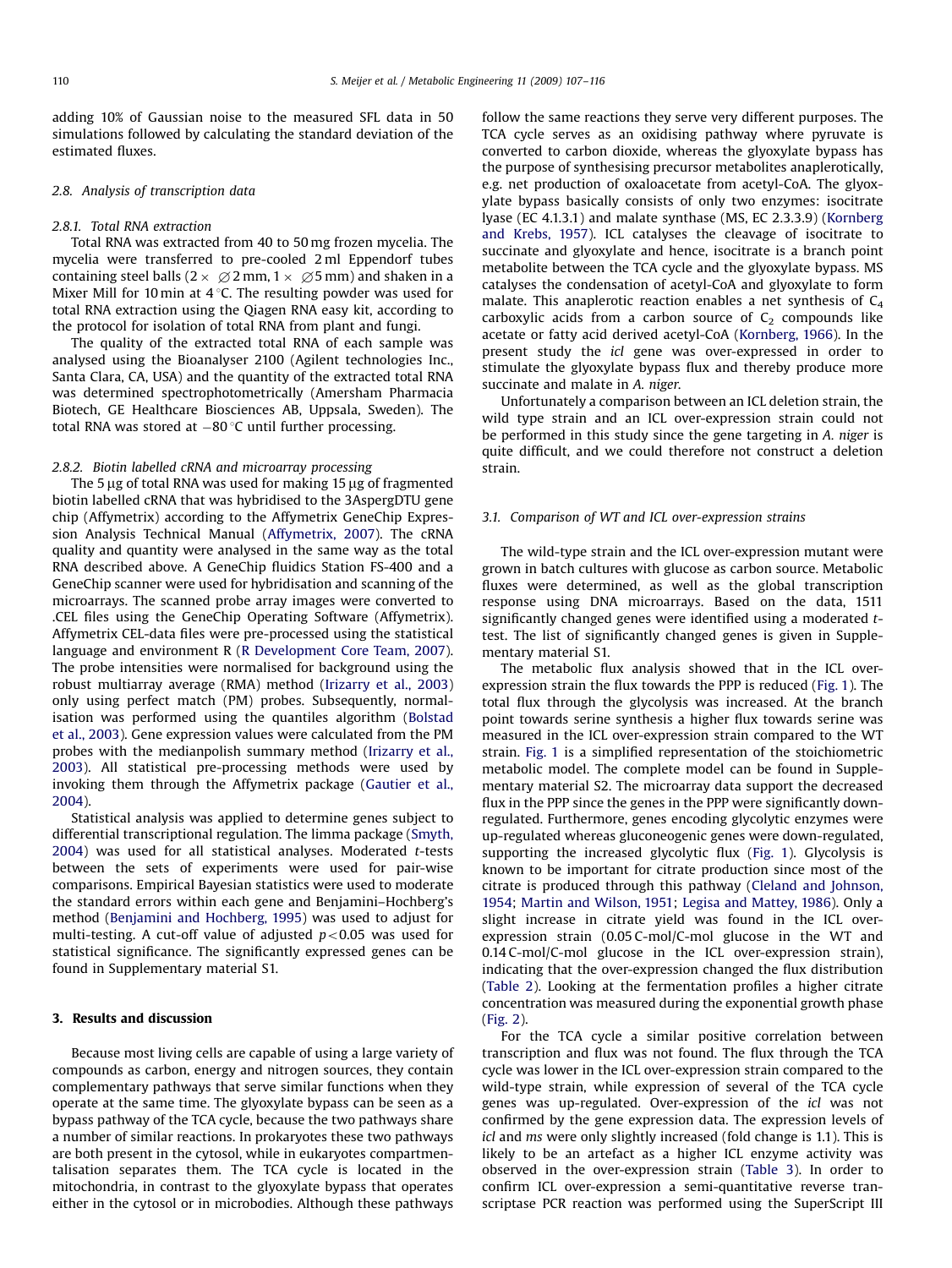adding 10% of Gaussian noise to the measured SFL data in 50 simulations followed by calculating the standard deviation of the estimated fluxes.

## 2.8. Analysis of transcription data

#### 2.8.1. Total RNA extraction

Total RNA was extracted from 40 to 50 mg frozen mycelia. The mycelia were transferred to pre-cooled 2 ml Eppendorf tubes containing steel balls ( $2 \times \emptyset$  2 mm,  $1 \times \emptyset$  5 mm) and shaken in a Mixer Mill for 10 min at 4  $\degree$ C. The resulting powder was used for total RNA extraction using the Qiagen RNA easy kit, according to the protocol for isolation of total RNA from plant and fungi.

The quality of the extracted total RNA of each sample was analysed using the Bioanalyser 2100 (Agilent technologies Inc., Santa Clara, CA, USA) and the quantity of the extracted total RNA was determined spectrophotometrically (Amersham Pharmacia Biotech, GE Healthcare Biosciences AB, Uppsala, Sweden). The total RNA was stored at  $-80$  °C until further processing.

#### 2.8.2. Biotin labelled cRNA and microarray processing

The 5  $\mu$ g of total RNA was used for making 15  $\mu$ g of fragmented biotin labelled cRNA that was hybridised to the 3AspergDTU gene chip (Affymetrix) according to the Affymetrix GeneChip Expression Analysis Technical Manual [\(Affymetrix, 2007\)](#page-8-0). The cRNA quality and quantity were analysed in the same way as the total RNA described above. A GeneChip fluidics Station FS-400 and a GeneChip scanner were used for hybridisation and scanning of the microarrays. The scanned probe array images were converted to .CEL files using the GeneChip Operating Software (Affymetrix). Affymetrix CEL-data files were pre-processed using the statistical language and environment R [\(R Development Core Team, 2007\)](#page-9-0). The probe intensities were normalised for background using the robust multiarray average (RMA) method [\(Irizarry et al., 2003\)](#page-9-0) only using perfect match (PM) probes. Subsequently, normalisation was performed using the quantiles algorithm ([Bolstad](#page-9-0) [et al., 2003\)](#page-9-0). Gene expression values were calculated from the PM probes with the medianpolish summary method ([Irizarry et al.,](#page-9-0) [2003](#page-9-0)). All statistical pre-processing methods were used by invoking them through the Affymetrix package ([Gautier et al.,](#page-9-0) [2004](#page-9-0)).

Statistical analysis was applied to determine genes subject to differential transcriptional regulation. The limma package [\(Smyth,](#page-9-0) [2004](#page-9-0)) was used for all statistical analyses. Moderated t-tests between the sets of experiments were used for pair-wise comparisons. Empirical Bayesian statistics were used to moderate the standard errors within each gene and Benjamini–Hochberg's method ([Benjamini and Hochberg, 1995\)](#page-9-0) was used to adjust for multi-testing. A cut-off value of adjusted  $p < 0.05$  was used for statistical significance. The significantly expressed genes can be found in Supplementary material S1.

#### 3. Results and discussion

Because most living cells are capable of using a large variety of compounds as carbon, energy and nitrogen sources, they contain complementary pathways that serve similar functions when they operate at the same time. The glyoxylate bypass can be seen as a bypass pathway of the TCA cycle, because the two pathways share a number of similar reactions. In prokaryotes these two pathways are both present in the cytosol, while in eukaryotes compartmentalisation separates them. The TCA cycle is located in the mitochondria, in contrast to the glyoxylate bypass that operates either in the cytosol or in microbodies. Although these pathways follow the same reactions they serve very different purposes. The TCA cycle serves as an oxidising pathway where pyruvate is converted to carbon dioxide, whereas the glyoxylate bypass has the purpose of synthesising precursor metabolites anaplerotically, e.g. net production of oxaloacetate from acetyl-CoA. The glyoxylate bypass basically consists of only two enzymes: isocitrate lyase (EC 4.1.3.1) and malate synthase (MS, EC 2.3.3.9) ([Kornberg](#page-9-0) [and Krebs, 1957](#page-9-0)). ICL catalyses the cleavage of isocitrate to succinate and glyoxylate and hence, isocitrate is a branch point metabolite between the TCA cycle and the glyoxylate bypass. MS catalyses the condensation of acetyl-CoA and glyoxylate to form malate. This anaplerotic reaction enables a net synthesis of  $C_4$ carboxylic acids from a carbon source of  $C_2$  compounds like acetate or fatty acid derived acetyl-CoA ([Kornberg, 1966](#page-9-0)). In the present study the icl gene was over-expressed in order to stimulate the glyoxylate bypass flux and thereby produce more succinate and malate in A. niger.

Unfortunately a comparison between an ICL deletion strain, the wild type strain and an ICL over-expression strain could not be performed in this study since the gene targeting in A. niger is quite difficult, and we could therefore not construct a deletion strain.

#### 3.1. Comparison of WT and ICL over-expression strains

The wild-type strain and the ICL over-expression mutant were grown in batch cultures with glucose as carbon source. Metabolic fluxes were determined, as well as the global transcription response using DNA microarrays. Based on the data, 1511 significantly changed genes were identified using a moderated ttest. The list of significantly changed genes is given in Supplementary material S1.

The metabolic flux analysis showed that in the ICL overexpression strain the flux towards the PPP is reduced [\(Fig. 1](#page-4-0)). The total flux through the glycolysis was increased. At the branch point towards serine synthesis a higher flux towards serine was measured in the ICL over-expression strain compared to the WT strain. [Fig. 1](#page-4-0) is a simplified representation of the stoichiometric metabolic model. The complete model can be found in Supplementary material S2. The microarray data support the decreased flux in the PPP since the genes in the PPP were significantly downregulated. Furthermore, genes encoding glycolytic enzymes were up-regulated whereas gluconeogenic genes were down-regulated, supporting the increased glycolytic flux [\(Fig. 1\)](#page-4-0). Glycolysis is known to be important for citrate production since most of the citrate is produced through this pathway [\(Cleland and Johnson,](#page-9-0) [1954](#page-9-0); [Martin and Wilson, 1951](#page-9-0); [Legisa and Mattey, 1986](#page-9-0)). Only a slight increase in citrate yield was found in the ICL overexpression strain (0.05 C-mol/C-mol glucose in the WT and 0.14 C-mol/C-mol glucose in the ICL over-expression strain), indicating that the over-expression changed the flux distribution ([Table 2\)](#page-5-0). Looking at the fermentation profiles a higher citrate concentration was measured during the exponential growth phase ([Fig. 2\)](#page-5-0).

For the TCA cycle a similar positive correlation between transcription and flux was not found. The flux through the TCA cycle was lower in the ICL over-expression strain compared to the wild-type strain, while expression of several of the TCA cycle genes was up-regulated. Over-expression of the icl was not confirmed by the gene expression data. The expression levels of icl and ms were only slightly increased (fold change is 1.1). This is likely to be an artefact as a higher ICL enzyme activity was observed in the over-expression strain ([Table 3\)](#page-5-0). In order to confirm ICL over-expression a semi-quantitative reverse transcriptase PCR reaction was performed using the SuperScript III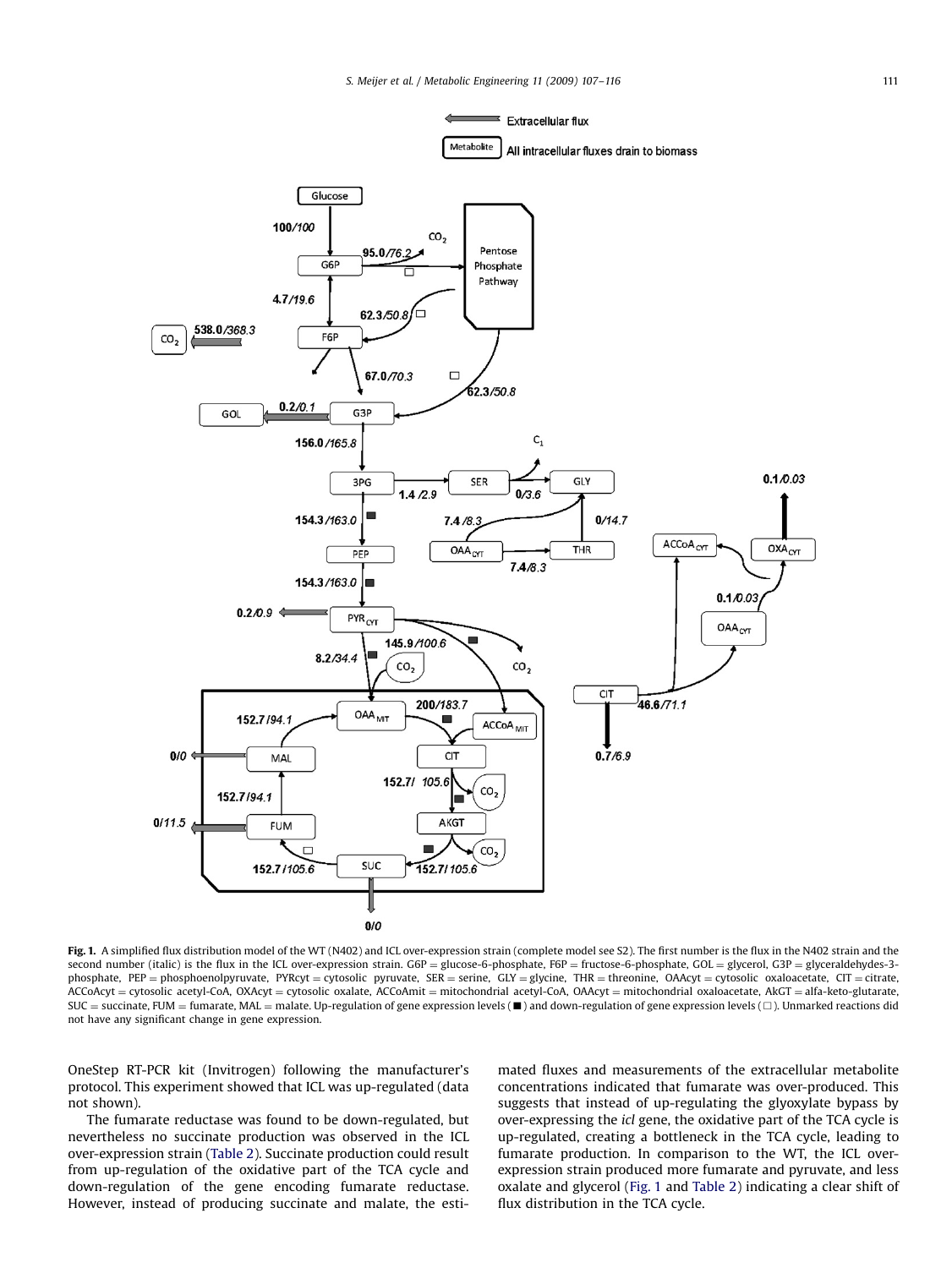<span id="page-4-0"></span>

Fig. 1. A simplified flux distribution model of the WT (N402) and ICL over-expression strain (complete model see S2). The first number is the flux in the N402 strain and the second number (italic) is the flux in the ICL over-expression strain. G6P = glucose-6-phosphate, F6P = fructose-6-phosphate, GOL = glycerol, G3P = glyceraldehydes-3phosphate, PEP = phosphoenolpyruvate, PYRcyt = cytosolic pyruvate, SER = serine, GLY = glycine, THR = threonine, OAAcyt = cytosolic oxaloacetate, CIT = citrate, ACCoAcyt = cytosolic acetyl-CoA, OXAcyt = cytosolic oxalate, ACCoAmit = mitochondrial acetyl-CoA, OAAcyt = mitochondrial oxaloacetate, AkGT = alfa-keto-glutarate,  $SUC =$  succinate, FUM = fumarate, MAL = malate. Up-regulation of gene expression levels ( $\blacksquare$ ) and down-regulation of gene expression levels ( $\Box$ ). Unmarked reactions did not have any significant change in gene expression.

OneStep RT-PCR kit (Invitrogen) following the manufacturer's protocol. This experiment showed that ICL was up-regulated (data not shown).

The fumarate reductase was found to be down-regulated, but nevertheless no succinate production was observed in the ICL over-expression strain ([Table 2](#page-5-0)). Succinate production could result from up-regulation of the oxidative part of the TCA cycle and down-regulation of the gene encoding fumarate reductase. However, instead of producing succinate and malate, the estimated fluxes and measurements of the extracellular metabolite concentrations indicated that fumarate was over-produced. This suggests that instead of up-regulating the glyoxylate bypass by over-expressing the icl gene, the oxidative part of the TCA cycle is up-regulated, creating a bottleneck in the TCA cycle, leading to fumarate production. In comparison to the WT, the ICL overexpression strain produced more fumarate and pyruvate, and less oxalate and glycerol (Fig. 1 and [Table 2](#page-5-0)) indicating a clear shift of flux distribution in the TCA cycle.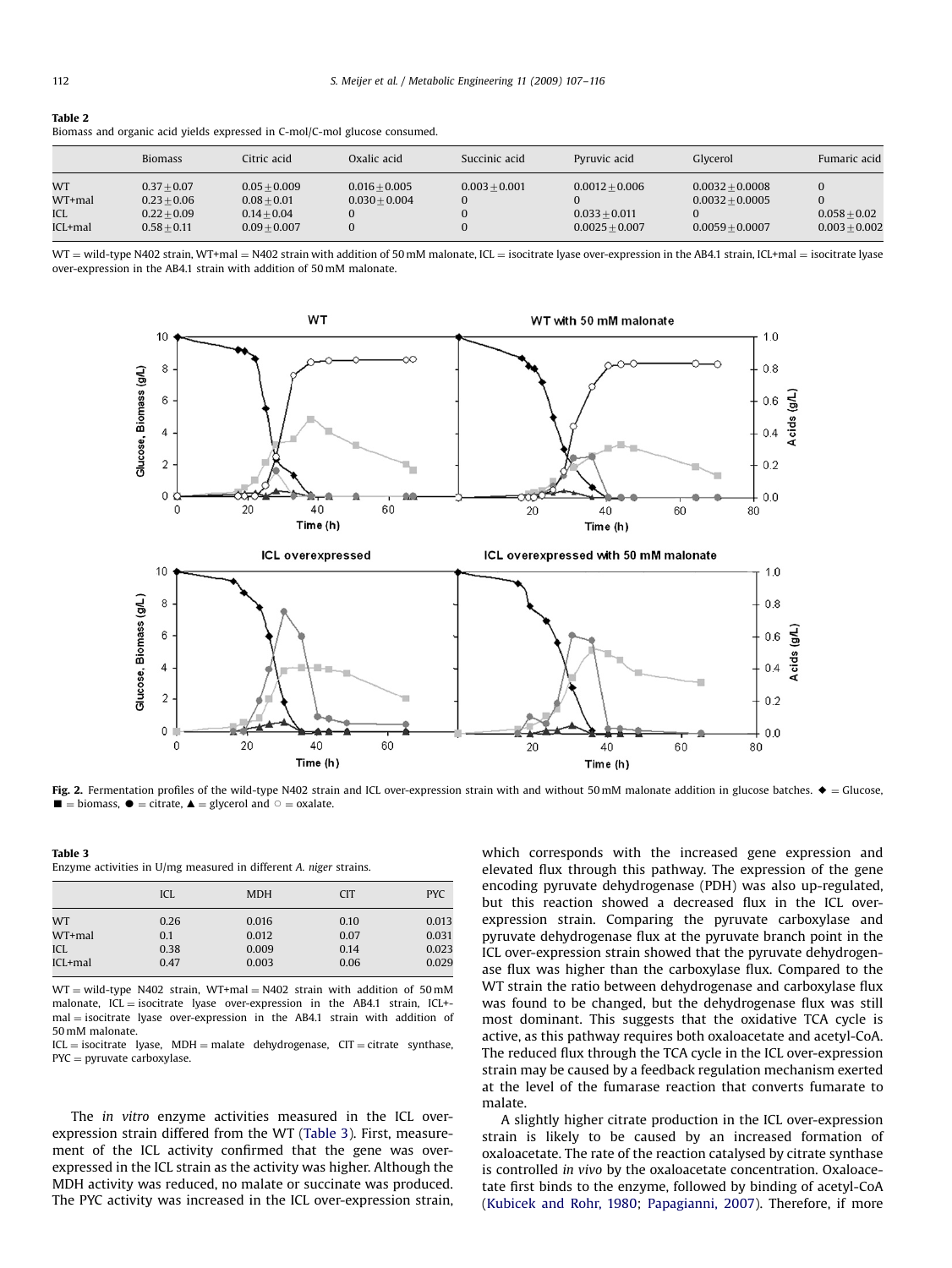|           | Biomass and organic acid yields expressed in C-mol/C-mol glucose consumed. |                |                 |                 |                  |                   |                 |  |
|-----------|----------------------------------------------------------------------------|----------------|-----------------|-----------------|------------------|-------------------|-----------------|--|
|           | <b>Biomass</b>                                                             | Citric acid    | Oxalic acid     | Succinic acid   | Pyruvic acid     | Glycerol          | Fumaric acid    |  |
| <b>WT</b> | $0.37 + 0.07$                                                              | $0.05 + 0.009$ | $0.016 + 0.005$ | $0.003 + 0.001$ | $0.0012 + 0.006$ | $0.0032 + 0.0008$ |                 |  |
| WT+mal    | $0.23 + 0.06$                                                              | $0.08 + 0.01$  | $0.030 + 0.004$ |                 |                  | $0.0032 + 0.0005$ |                 |  |
| ICL       | $0.22 + 0.09$                                                              | $0.14 + 0.04$  |                 |                 | $0.033 + 0.011$  |                   | $0.058 + 0.02$  |  |
| ICL+mal   | $0.58 + 0.11$                                                              | $0.09 + 0.007$ |                 |                 | $0.0025 + 0.007$ | $0.0059 + 0.0007$ | $0.003 + 0.002$ |  |

 $WT = wild-type N402 strain, WT +mal = N402 strain with addition of 50 mM malonate, ICL = isocitrate lysse over-expression in the AB4.1 strain, ICL+mal = isocitrate lysse$ over-expression in the AB4.1 strain with addition of 50 mM malonate.



Fig. 2. Fermentation profiles of the wild-type N402 strain and ICL over-expression strain with and without 50 mM malonate addition in glucose batches.  $\bullet$  = Glucose,  $\blacksquare$  = biomass,  $\blacklozenge$  = citrate,  $\blacktriangle$  = glycerol and  $\heartsuit$  = oxalate.

#### Table 3

Enzyme activities in U/mg measured in different A. niger strains.

|           | ICL  | <b>MDH</b> | <b>CIT</b> | <b>PYC</b> |
|-----------|------|------------|------------|------------|
| <b>WT</b> | 0.26 | 0.016      | 0.10       | 0.013      |
| WT+mal    | 0.1  | 0.012      | 0.07       | 0.031      |
| ICL       | 0.38 | 0.009      | 0.14       | 0.023      |
| ICL+mal   | 0.47 | 0.003      | 0.06       | 0.029      |

 $WT = wild-type N402 strain, WT+mal = N402 strain with addition of 50 mM$ malonate,  $ICL =$  isocitrate lyase over-expression in the AB4.1 strain,  $ICL +$ mal = isocitrate lyase over-expression in the AB4.1 strain with addition of 50 mM malonate.

 $ICL = isocitrate$  lyase,  $MDH = malate$  dehydrogenase,  $CIT = citrate$  synthase,  $PYC = pyruvate carboxylase.$ 

The in vitro enzyme activities measured in the ICL overexpression strain differed from the WT (Table 3). First, measurement of the ICL activity confirmed that the gene was overexpressed in the ICL strain as the activity was higher. Although the MDH activity was reduced, no malate or succinate was produced. The PYC activity was increased in the ICL over-expression strain,

which corresponds with the increased gene expression and elevated flux through this pathway. The expression of the gene encoding pyruvate dehydrogenase (PDH) was also up-regulated, but this reaction showed a decreased flux in the ICL overexpression strain. Comparing the pyruvate carboxylase and pyruvate dehydrogenase flux at the pyruvate branch point in the ICL over-expression strain showed that the pyruvate dehydrogenase flux was higher than the carboxylase flux. Compared to the WT strain the ratio between dehydrogenase and carboxylase flux was found to be changed, but the dehydrogenase flux was still most dominant. This suggests that the oxidative TCA cycle is active, as this pathway requires both oxaloacetate and acetyl-CoA. The reduced flux through the TCA cycle in the ICL over-expression strain may be caused by a feedback regulation mechanism exerted at the level of the fumarase reaction that converts fumarate to malate.

A slightly higher citrate production in the ICL over-expression strain is likely to be caused by an increased formation of oxaloacetate. The rate of the reaction catalysed by citrate synthase is controlled in vivo by the oxaloacetate concentration. Oxaloacetate first binds to the enzyme, followed by binding of acetyl-CoA ([Kubicek and Rohr, 1980;](#page-9-0) [Papagianni, 2007](#page-9-0)). Therefore, if more

<span id="page-5-0"></span>Table 2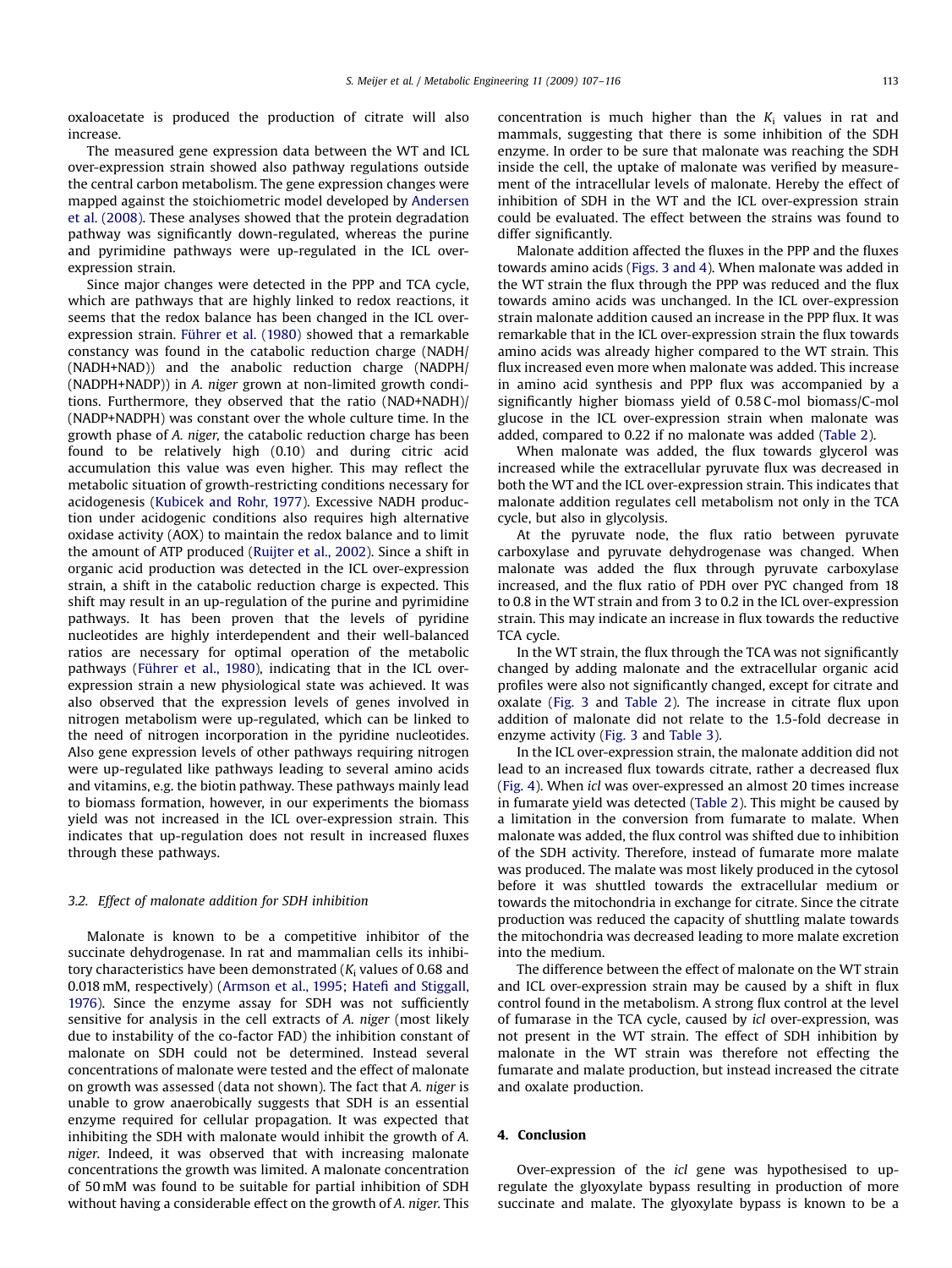oxaloacetate is produced the production of citrate will also increase.

The measured gene expression data between the WT and ICL over-expression strain showed also pathway regulations outside the central carbon metabolism. The gene expression changes were mapped against the stoichiometric model developed by [Andersen](#page-9-0) [et al. \(2008\)](#page-9-0). These analyses showed that the protein degradation pathway was significantly down-regulated, whereas the purine and pyrimidine pathways were up-regulated in the ICL overexpression strain.

Since major changes were detected in the PPP and TCA cycle, which are pathways that are highly linked to redox reactions, it seems that the redox balance has been changed in the ICL overexpression strain. Führer et al. (1980) showed that a remarkable constancy was found in the catabolic reduction charge (NADH/ (NADH+NAD)) and the anabolic reduction charge (NADPH/ (NADPH+NADP)) in A. niger grown at non-limited growth conditions. Furthermore, they observed that the ratio (NAD+NADH)/ (NADP+NADPH) was constant over the whole culture time. In the growth phase of A. niger, the catabolic reduction charge has been found to be relatively high (0.10) and during citric acid accumulation this value was even higher. This may reflect the metabolic situation of growth-restricting conditions necessary for acidogenesis [\(Kubicek and Rohr, 1977](#page-9-0)). Excessive NADH production under acidogenic conditions also requires high alternative oxidase activity (AOX) to maintain the redox balance and to limit the amount of ATP produced ([Ruijter et al., 2002](#page-9-0)). Since a shift in organic acid production was detected in the ICL over-expression strain, a shift in the catabolic reduction charge is expected. This shift may result in an up-regulation of the purine and pyrimidine pathways. It has been proven that the levels of pyridine nucleotides are highly interdependent and their well-balanced ratios are necessary for optimal operation of the metabolic pathways (Führer et al., 1980), indicating that in the ICL overexpression strain a new physiological state was achieved. It was also observed that the expression levels of genes involved in nitrogen metabolism were up-regulated, which can be linked to the need of nitrogen incorporation in the pyridine nucleotides. Also gene expression levels of other pathways requiring nitrogen were up-regulated like pathways leading to several amino acids and vitamins, e.g. the biotin pathway. These pathways mainly lead to biomass formation, however, in our experiments the biomass yield was not increased in the ICL over-expression strain. This indicates that up-regulation does not result in increased fluxes through these pathways.

### 3.2. Effect of malonate addition for SDH inhibition

Malonate is known to be a competitive inhibitor of the succinate dehydrogenase. In rat and mammalian cells its inhibitory characteristics have been demonstrated  $(K<sub>i</sub>$  values of 0.68 and 0.018 mM, respectively) [\(Armson et al., 1995](#page-9-0); [Hatefi and Stiggall,](#page-9-0) [1976\)](#page-9-0). Since the enzyme assay for SDH was not sufficiently sensitive for analysis in the cell extracts of A. niger (most likely due to instability of the co-factor FAD) the inhibition constant of malonate on SDH could not be determined. Instead several concentrations of malonate were tested and the effect of malonate on growth was assessed (data not shown). The fact that A. niger is unable to grow anaerobically suggests that SDH is an essential enzyme required for cellular propagation. It was expected that inhibiting the SDH with malonate would inhibit the growth of A. niger. Indeed, it was observed that with increasing malonate concentrations the growth was limited. A malonate concentration of 50 mM was found to be suitable for partial inhibition of SDH without having a considerable effect on the growth of A. niger. This

concentration is much higher than the  $K_i$  values in rat and mammals, suggesting that there is some inhibition of the SDH enzyme. In order to be sure that malonate was reaching the SDH inside the cell, the uptake of malonate was verified by measurement of the intracellular levels of malonate. Hereby the effect of inhibition of SDH in the WT and the ICL over-expression strain could be evaluated. The effect between the strains was found to differ significantly.

Malonate addition affected the fluxes in the PPP and the fluxes towards amino acids [\(Figs. 3 and 4](#page-7-0)). When malonate was added in the WT strain the flux through the PPP was reduced and the flux towards amino acids was unchanged. In the ICL over-expression strain malonate addition caused an increase in the PPP flux. It was remarkable that in the ICL over-expression strain the flux towards amino acids was already higher compared to the WT strain. This flux increased even more when malonate was added. This increase in amino acid synthesis and PPP flux was accompanied by a significantly higher biomass yield of 0.58 C-mol biomass/C-mol glucose in the ICL over-expression strain when malonate was added, compared to 0.22 if no malonate was added ([Table 2](#page-5-0)).

When malonate was added, the flux towards glycerol was increased while the extracellular pyruvate flux was decreased in both the WT and the ICL over-expression strain. This indicates that malonate addition regulates cell metabolism not only in the TCA cycle, but also in glycolysis.

At the pyruvate node, the flux ratio between pyruvate carboxylase and pyruvate dehydrogenase was changed. When malonate was added the flux through pyruvate carboxylase increased, and the flux ratio of PDH over PYC changed from 18 to 0.8 in the WT strain and from 3 to 0.2 in the ICL over-expression strain. This may indicate an increase in flux towards the reductive TCA cycle.

In the WT strain, the flux through the TCA was not significantly changed by adding malonate and the extracellular organic acid profiles were also not significantly changed, except for citrate and oxalate [\(Fig. 3](#page-7-0) and [Table 2\)](#page-5-0). The increase in citrate flux upon addition of malonate did not relate to the 1.5-fold decrease in enzyme activity ([Fig. 3](#page-7-0) and [Table 3\)](#page-5-0).

In the ICL over-expression strain, the malonate addition did not lead to an increased flux towards citrate, rather a decreased flux ([Fig. 4\)](#page-8-0). When icl was over-expressed an almost 20 times increase in fumarate yield was detected [\(Table 2](#page-5-0)). This might be caused by a limitation in the conversion from fumarate to malate. When malonate was added, the flux control was shifted due to inhibition of the SDH activity. Therefore, instead of fumarate more malate was produced. The malate was most likely produced in the cytosol before it was shuttled towards the extracellular medium or towards the mitochondria in exchange for citrate. Since the citrate production was reduced the capacity of shuttling malate towards the mitochondria was decreased leading to more malate excretion into the medium.

The difference between the effect of malonate on the WT strain and ICL over-expression strain may be caused by a shift in flux control found in the metabolism. A strong flux control at the level of fumarase in the TCA cycle, caused by icl over-expression, was not present in the WT strain. The effect of SDH inhibition by malonate in the WT strain was therefore not effecting the fumarate and malate production, but instead increased the citrate and oxalate production.

# 4. Conclusion

Over-expression of the icl gene was hypothesised to upregulate the glyoxylate bypass resulting in production of more succinate and malate. The glyoxylate bypass is known to be a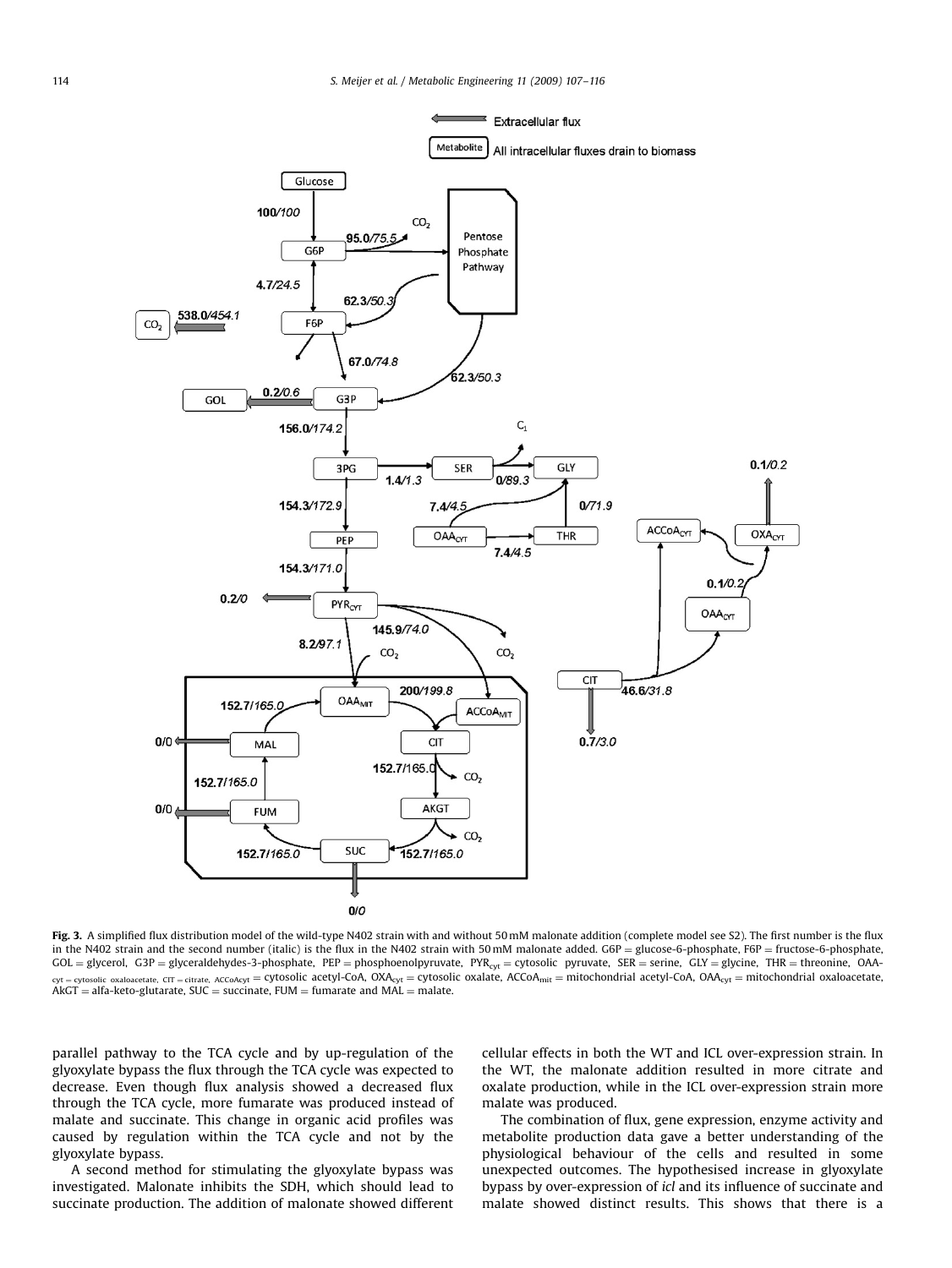<span id="page-7-0"></span>

Fig. 3. A simplified flux distribution model of the wild-type N402 strain with and without 50 mM malonate addition (complete model see S2). The first number is the flux in the N402 strain and the second number (italic) is the flux in the N402 strain with 50 mM malonate added.  $G6P =$  glucose-6-phosphate, F6P = fructose-6-phosphate,  $GOL = glycerol, G3P = glyceraldehyde-3-phosphate, PEP = phosphoenolpyruvate,  $PYR_{cyt} = cytosolic pyruvate, SER = serine, GLY = glycin, THR = threeonine, OAA$$ cyt = cytosolic oxaloacetate, CIT = citrate, ACCoAcyt = C**ytosolic acetyl-CoA, OXA<sub>cyt</sub> = cytosolic oxalate, ACCoA<sub>mit</sub> = mitochondrial acetyl-CoA, OAA<sub>cyt</sub> = mitochondrial oxaloacetate,<br>AkGT = alfa-keto-glutarate, SUC = s** 

parallel pathway to the TCA cycle and by up-regulation of the glyoxylate bypass the flux through the TCA cycle was expected to decrease. Even though flux analysis showed a decreased flux through the TCA cycle, more fumarate was produced instead of malate and succinate. This change in organic acid profiles was caused by regulation within the TCA cycle and not by the glyoxylate bypass.

A second method for stimulating the glyoxylate bypass was investigated. Malonate inhibits the SDH, which should lead to succinate production. The addition of malonate showed different cellular effects in both the WT and ICL over-expression strain. In the WT, the malonate addition resulted in more citrate and oxalate production, while in the ICL over-expression strain more malate was produced.

The combination of flux, gene expression, enzyme activity and metabolite production data gave a better understanding of the physiological behaviour of the cells and resulted in some unexpected outcomes. The hypothesised increase in glyoxylate bypass by over-expression of icl and its influence of succinate and malate showed distinct results. This shows that there is a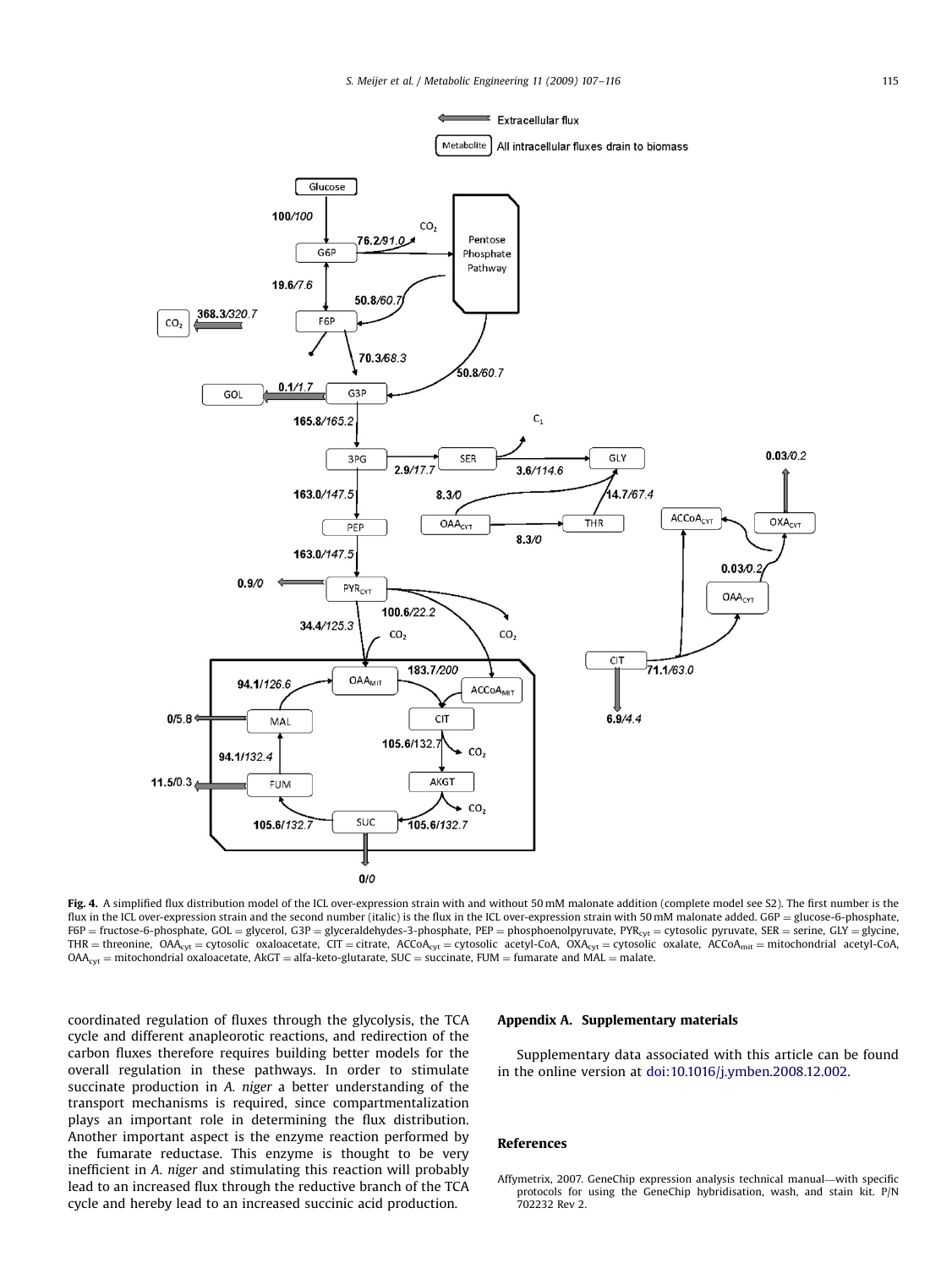<span id="page-8-0"></span>

Fig. 4. A simplified flux distribution model of the ICL over-expression strain with and without 50 mM malonate addition (complete model see S2). The first number is the flux in the ICL over-expression strain and the second number (italic) is the flux in the ICL over-expression strain with 50 mM malonate added. G6P = glucose-6-phosphate,  $F6P =$  fructose-6-phosphate,  $GOL =$  glycerol,  $G3P =$  glyceraldehydes-3-phosphate,  $PEP =$  phosphoenolpyruvate,  $PYR_{\text{cyt}} =$  cytosolic pyruvate, SER = serine,  $GLY =$  glycine, THR = threonine, OAA<sub>cyt</sub> = cytosolic oxaloacetate, CIT = citrate, ACCoA<sub>cyt</sub> = cytosolic acetyl-CoA, OXA<sub>cyt</sub> = cytosolic oxalate, ACCoA<sub>mit</sub> = mitochondrial acetyl-CoA,  $OAA_{\text{cvt}}$  = mitochondrial oxaloacetate, AkGT = alfa-keto-glutarate, SUC = succinate, FUM = fumarate and MAL = malate.

coordinated regulation of fluxes through the glycolysis, the TCA cycle and different anapleorotic reactions, and redirection of the carbon fluxes therefore requires building better models for the overall regulation in these pathways. In order to stimulate succinate production in A. niger a better understanding of the transport mechanisms is required, since compartmentalization plays an important role in determining the flux distribution. Another important aspect is the enzyme reaction performed by the fumarate reductase. This enzyme is thought to be very inefficient in A. niger and stimulating this reaction will probably lead to an increased flux through the reductive branch of the TCA cycle and hereby lead to an increased succinic acid production.

#### Appendix A. Supplementary materials

Supplementary data associated with this article can be found in the online version at [doi:10.1016/j.ymben.2008.12.002](dx.doi.org/10.1016/j.ymben.2008.12.002).

## References

Affymetrix, 2007. GeneChip expression analysis technical manual—with specific protocols for using the GeneChip hybridisation, wash, and stain kit. P/N 702232 Rev 2.